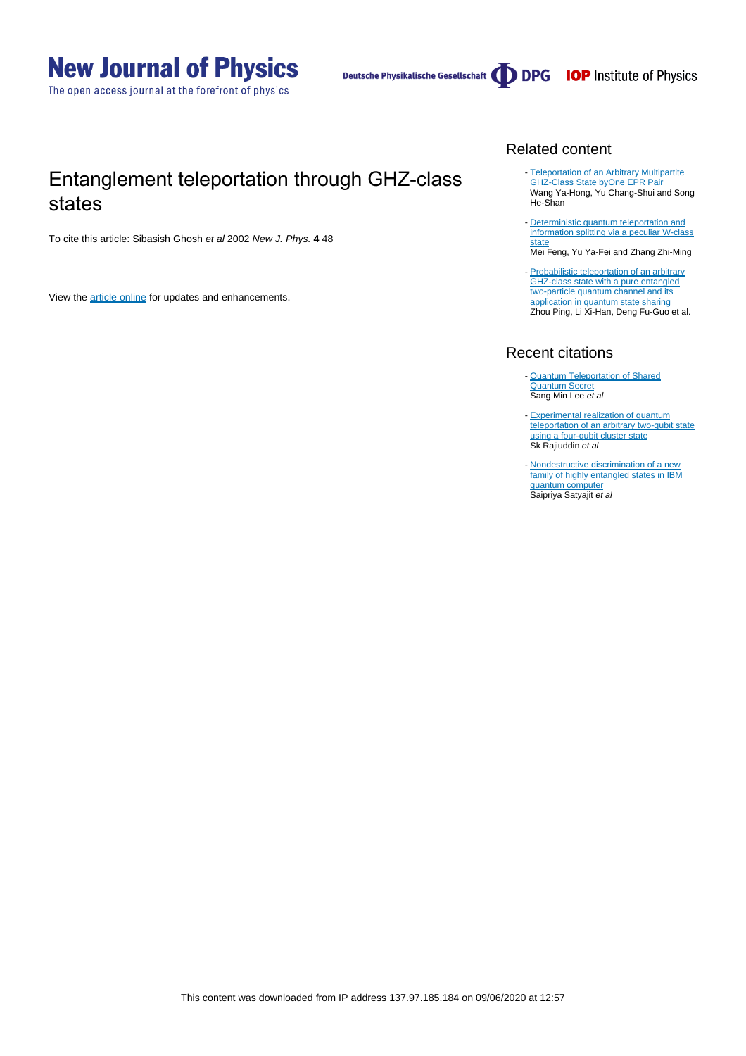The open access journal at the forefront of physics

# Entanglement teleportation through GHZ-class states

To cite this article: Sibasish Ghosh et al 2002 New J. Phys. **4** 48

View the [article online](https://doi.org/10.1088/1367-2630/4/1/348) for updates and enhancements.

### Related content

- [Teleportation of an Arbitrary Multipartite](http://iopscience.iop.org/article/10.1088/0256-307X/23/12/005) [GHZ-Class State byOne EPR Pair](http://iopscience.iop.org/article/10.1088/0256-307X/23/12/005) Wang Ya-Hong, Yu Chang-Shui and Song He-Shan
- [Deterministic quantum teleportation and](http://iopscience.iop.org/article/10.1088/1674-1056/19/2/020308) [information splitting via a peculiar W-class](http://iopscience.iop.org/article/10.1088/1674-1056/19/2/020308) [state](http://iopscience.iop.org/article/10.1088/1674-1056/19/2/020308)
- Mei Feng, Yu Ya-Fei and Zhang Zhi-Ming
- [Probabilistic teleportation of an arbitrary](http://iopscience.iop.org/article/10.1088/1009-1963/16/10/007) [GHZ-class state with a pure entangled](http://iopscience.iop.org/article/10.1088/1009-1963/16/10/007) [two-particle quantum channel and its](http://iopscience.iop.org/article/10.1088/1009-1963/16/10/007) [application in quantum state sharing](http://iopscience.iop.org/article/10.1088/1009-1963/16/10/007) Zhou Ping, Li Xi-Han, Deng Fu-Guo et al.

### Recent citations

- **[Quantum Teleportation of Shared](http://dx.doi.org/10.1103/PhysRevLett.124.060501)** <mark>[Quantum Secret](http://dx.doi.org/10.1103/PhysRevLett.124.060501)</mark><br>Sang Min Lee *et al*
- [Experimental realization of quantum](http://dx.doi.org/10.1007/s11128-020-2586-x) [teleportation of an arbitrary two-qubit state](http://dx.doi.org/10.1007/s11128-020-2586-x) [using a four-qubit cluster state](http://dx.doi.org/10.1007/s11128-020-2586-x) Sk Rajiuddin et al
- [Nondestructive discrimination of a new](http://dx.doi.org/10.1007/s11128-018-1976-9) [family of highly entangled states in IBM](http://dx.doi.org/10.1007/s11128-018-1976-9) [quantum computer](http://dx.doi.org/10.1007/s11128-018-1976-9) Saipriya Satyajit et al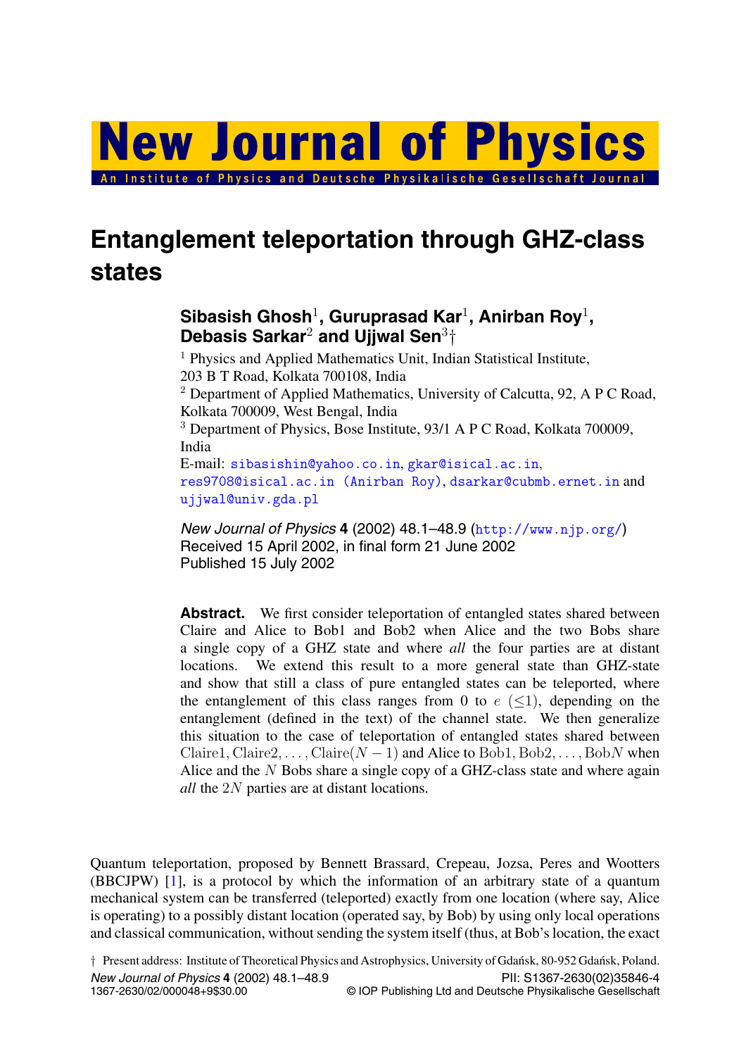**New Journal of Physics** An Institute of Physics and Deutsche Physikalische Gesellschaft

**Entanglement teleportation through GHZ-class states**

## **Sibasish Ghosh**1**, Guruprasad Kar**1**, Anirban Roy**1**, Debasis Sarkar**<sup>2</sup> **and Ujjwal Sen**<sup>3</sup>†

<sup>1</sup> Physics and Applied Mathematics Unit, Indian Statistical Institute, 203 B T Road, Kolkata 700108, India

<sup>2</sup> Department of Applied Mathematics, University of Calcutta, 92, APC Road, Kolkata 700009, West Bengal, India

<sup>3</sup> Department of Physics, Bose Institute, 93/1 A P C Road, Kolkata 700009, India

E-mail: [sibasishin@yahoo.co.in](mailto:sibasishin@yahoo.co.in), [gkar@isical.ac.in](mailto:gkar@isical.ac.in), [res9708@isical.ac.in \(Anirban Roy\)](mailto:res9708@isical.ac.inprotect unhbox voidb@x penalty @M  {}(Anirban Roy)), [dsarkar@cubmb.ernet.in](mailto:dsarkar@cubmb.ernet.in) and [ujjwal@univ.gda.pl](mailto:ujjwal@univ.gda.pl)

*New Journal of Physics* **4** (2002) 48.1–48.9 (<http://www.njp.org/>) Received 15 April 2002, in final form 21 June 2002 Published 15 July 2002

**Abstract.** We first consider teleportation of entangled states shared between Claire and Alice to Bob1 and Bob2 when Alice and the two Bobs share a single copy of a GHZ state and where *all* the four parties are at distant locations. We extend this result to a more general state than GHZ-state and show that still a class of pure entangled states can be teleported, where the entanglement of this class ranges from 0 to  $e$  ( $\leq$ 1), depending on the entanglement (defined in the text) of the channel state. We then generalize this situation to the case of teleportation of entangled states shared between Claire1, Claire2,..., Claire( $N-1$ ) and Alice to Bob1, Bob2,..., BobN when Alice and the N Bobs share a single copy of a GHZ-class state and where again *all* the 2N parties are at distant locations.

Quantum teleportation, proposed by Bennett Brassard, Crepeau, Jozsa, Peres and Wootters (BBCJPW) [\[1](#page-9-0)], is a protocol by which the information of an arbitrary state of a quantum mechanical system can be transferred (teleported) exactly from one location (where say, Alice is operating) to a possibly distant location (operated say, by Bob) by using only local operations and classical communication, without sending the system itself (thus, at Bob's location, the exact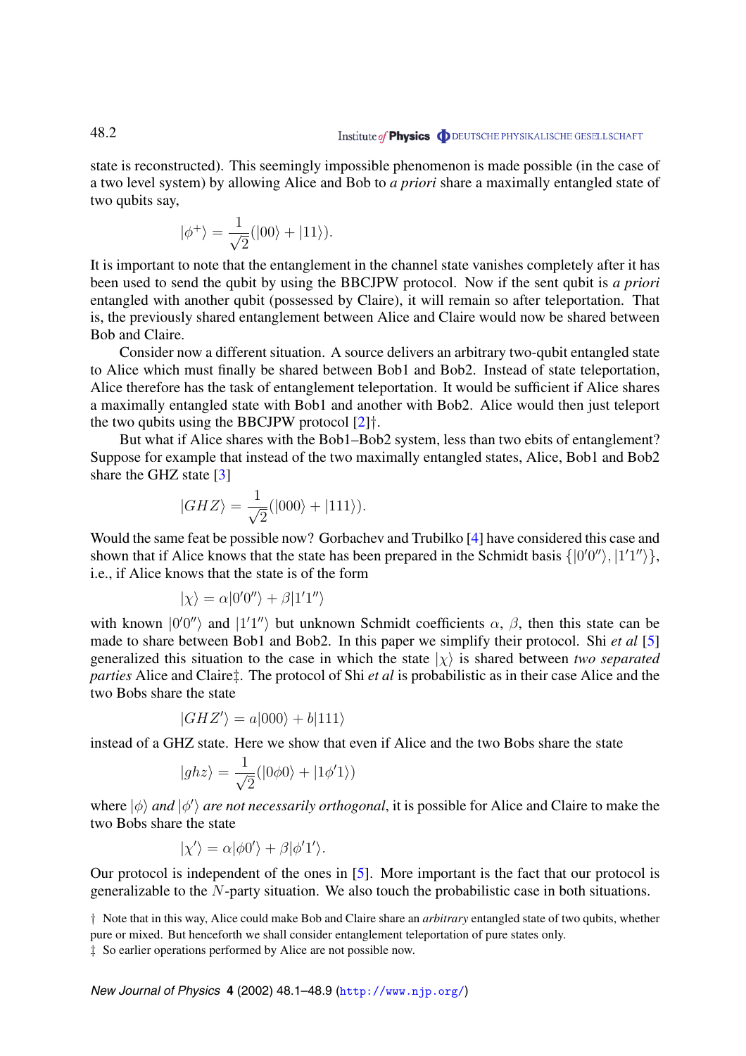state is reconstructed). This seemingly impossible phenomenon is made possible (in the case of a two level system) by allowing Alice and Bob to *a priori* share a maximally entangled state of two qubits say,

$$
|\phi^+\rangle = \frac{1}{\sqrt{2}}(|00\rangle + |11\rangle).
$$

It is important to note that the entanglement in the channel state vanishes completely after it has been used to send the qubit by using the BBCJPW protocol. Now if the sent qubit is *a priori* entangled with another qubit (possessed by Claire), it will remain so after teleportation. That is, the previously shared entanglement between Alice and Claire would now be shared between Bob and Claire.

Consider now a different situation. A source delivers an arbitrary two-qubit entangled state to Alice which must finally be shared between Bob1 and Bob2. Instead of state teleportation, Alice therefore has the task of entanglement teleportation. It would be sufficient if Alice shares a maximally entangled state with Bob1 and another with Bob2. Alice would then just teleport the two qubits using the BBCJPW protocol [\[2](#page-9-0)]†.

But what if Alice shares with the Bob1–Bob2 system, less than two ebits of entanglement? Suppose for example that instead of the two maximally entangled states, Alice, Bob1 and Bob2 share the GHZ state [\[3](#page-9-0)]

$$
|GHZ\rangle = \frac{1}{\sqrt{2}}(|000\rangle + |111\rangle).
$$

Would the same feat be possible now? Gorbachev and Trubilko [[4\]](#page-9-0) have considered this case and shown that if Alice knows that the state has been prepared in the Schmidt basis  $\{|0'0''\rangle, |1'1''\rangle\},$ i.e., if Alice knows that the state is of the form

$$
|\chi\rangle = \alpha|0'0''\rangle + \beta|1'1''\rangle
$$

with known  $|0'0''\rangle$  and  $|1'1''\rangle$  but unknown Schmidt coefficients  $\alpha$ ,  $\beta$ , then this state can be made to share between Bob1 and Bob2. In this paper we simplify their protocol. Shi *et al* [\[5](#page-9-0)] generalized this situation to the case in which the state  $|\chi\rangle$  is shared between *two separated parties* Alice and Claire‡. The protocol of Shi *et al* is probabilistic as in their case Alice and the two Bobs share the state

$$
|GHZ'\rangle = a|000\rangle + b|111\rangle
$$

instead of a GHZ state. Here we show that even if Alice and the two Bobs share the state

$$
|ghz\rangle = \frac{1}{\sqrt{2}}(|0\phi 0\rangle + |1\phi' 1\rangle)
$$

where  $|\phi\rangle$  *and*  $|\phi'\rangle$  *are not necessarily orthogonal*, it is possible for Alice and Claire to make the two Bobs share the state

$$
|\chi'\rangle = \alpha|\phi 0'\rangle + \beta|\phi'1'\rangle.
$$

Our protocol is independent of the ones in [[5\]](#page-9-0). More important is the fact that our protocol is generalizable to the N-party situation. We also touch the probabilistic case in both situations.

‡ So earlier operations performed by Alice are not possible now.

*New Journal of Physics* **4** (2002) 48.1–48.9 (<http://www.njp.org/>)

<sup>†</sup> Note that in this way, Alice could make Bob and Claire share an *arbitrary* entangled state of two qubits, whether pure or mixed. But henceforth we shall consider entanglement teleportation of pure states only.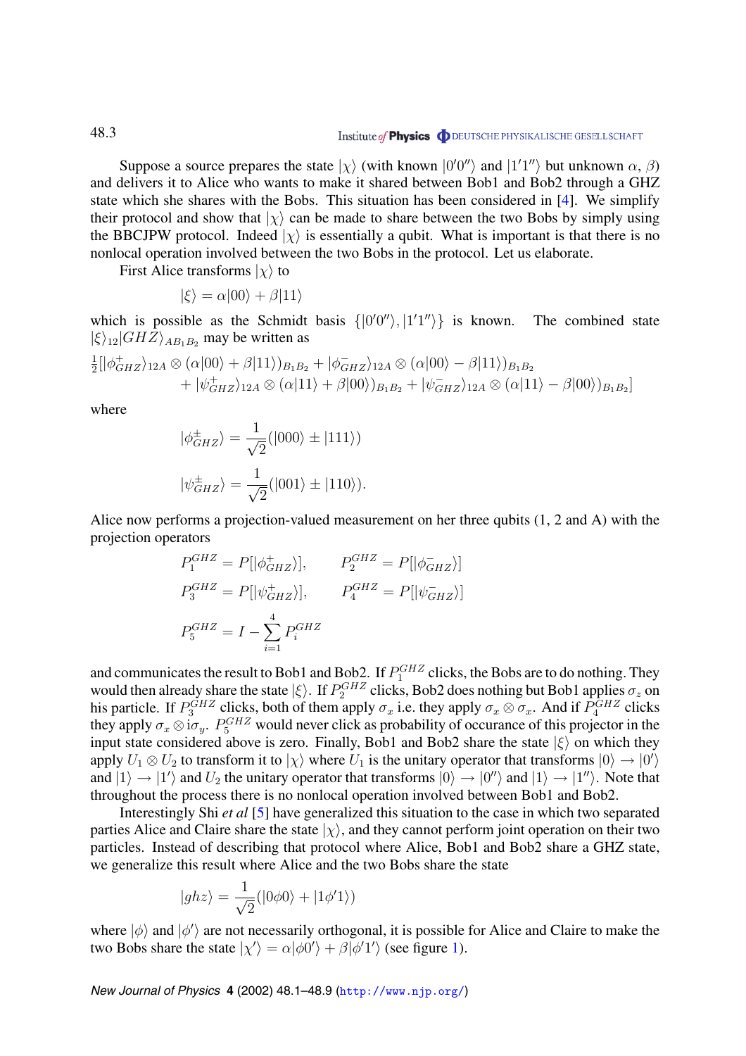Suppose a source prepares the state  $|\chi\rangle$  (with known  $|0'0''\rangle$  and  $|1'1''\rangle$  but unknown  $\alpha$ ,  $\beta$ ) and delivers it to Alice who wants to make it shared between Bob1 and Bob2 through a GHZ state which she shares with the Bobs. This situation has been considered in [\[4](#page-9-0)]. We simplify their protocol and show that  $|\chi\rangle$  can be made to share between the two Bobs by simply using the BBCJPW protocol. Indeed  $|\chi\rangle$  is essentially a qubit. What is important is that there is no nonlocal operation involved between the two Bobs in the protocol. Let us elaborate.

First Alice transforms  $|\chi\rangle$  to

$$
|\xi\rangle = \alpha|00\rangle + \beta|11\rangle
$$

which is possible as the Schmidt basis  $\{|0'0''\rangle, |1'1''\rangle$ The combined state  $|\xi\rangle_{12}|GHZ\rangle_{AB_1B_2}$  may be written as

$$
\frac{1}{2} [|\phi_{GHZ}^+ \rangle_{12A} \otimes (\alpha|00\rangle + \beta|11\rangle)_{B_1B_2} + |\phi_{GHZ}^- \rangle_{12A} \otimes (\alpha|00\rangle - \beta|11\rangle)_{B_1B_2} \n+ |\psi_{GHZ}^+ \rangle_{12A} \otimes (\alpha|11\rangle + \beta|00\rangle)_{B_1B_2} + |\psi_{GHZ}^- \rangle_{12A} \otimes (\alpha|11\rangle - \beta|00\rangle)_{B_1B_2} ]
$$

where

$$
|\phi_{GHZ}^{\pm}\rangle = \frac{1}{\sqrt{2}}(|000\rangle \pm |111\rangle)
$$
  

$$
|\psi_{GHZ}^{\pm}\rangle = \frac{1}{\sqrt{2}}(|001\rangle \pm |110\rangle).
$$

Alice now performs a projection-valued measurement on her three qubits (1, 2 and A) with the projection operators

$$
P_1^{GHZ} = P[|\phi_{GHZ}^+ \rangle], \qquad P_2^{GHZ} = P[|\phi_{GHZ}^- \rangle]
$$
  

$$
P_3^{GHZ} = P[|\psi_{GHZ}^+ \rangle], \qquad P_4^{GHZ} = P[|\psi_{GHZ}^- \rangle]
$$
  

$$
P_5^{GHZ} = I - \sum_{i=1}^4 P_i^{GHZ}
$$

and communicates the result to Bob1 and Bob2. If  $P_1^{GHZ}$  clicks, the Bobs are to do nothing. They would then already share the state  $|\xi\rangle$ . If  $P_2^{GHZ}$  clicks, Bob2 does nothing but Bob1 applies  $\sigma_z$  on his particle. If  $P_3^{GHZ}$  clicks, both of them apply  $\sigma_x$  i.e. they apply  $\sigma_x \otimes \sigma_x$ . And if  $P_4^{GHZ}$  clicks they apply  $\sigma_x \otimes i\sigma_y$ .  $P_5^{GHZ}$  would never click as probability of occurance of this projector in the input state considered above is zero. Finally, Bob1 and Bob2 share the state  $|\xi\rangle$  on which they apply  $U_1 \otimes U_2$  to transform it to  $|\chi\rangle$  where  $U_1$  is the unitary operator that transforms  $|0\rangle \rightarrow |0'\rangle$ and  $|1\rangle \rightarrow |1'\rangle$  and  $U_2$  the unitary operator that transforms  $|0\rangle \rightarrow |0''\rangle$  and  $|1\rangle \rightarrow |1''\rangle$ . Note that throughout the process there is no nonlocal operation involved between Bob1 and Bob2.

Interestingly Shi *et al* [[5\]](#page-9-0) have generalized this situation to the case in which two separated parties Alice and Claire share the state  $|\chi\rangle$ , and they cannot perform joint operation on their two particles. Instead of describing that protocol where Alice, Bob1 and Bob2 share a GHZ state, we generalize this result where Alice and the two Bobs share the state

$$
|ghz\rangle = \frac{1}{\sqrt{2}}(|0\phi 0\rangle + |1\phi' 1\rangle)
$$

where  $|\phi\rangle$  and  $|\phi'\rangle$  are not necessarily orthogonal, it is possible for Alice and Claire to make the two Bobs share the state  $|\chi'\rangle = \alpha |\phi_0\rangle + \beta |\phi_0\rangle'$  (see figure [1](#page-4-0)).

*New Journal of Physics* **4** (2002) 48.1–48.9 (<http://www.njp.org/>)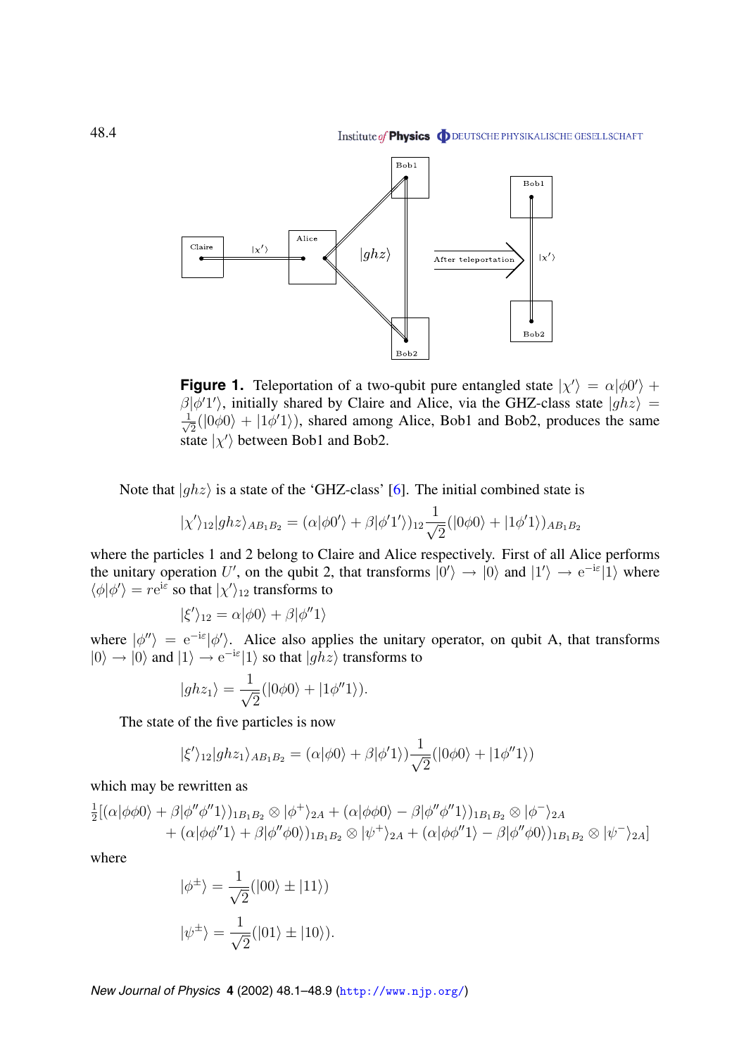<span id="page-4-0"></span>

**Figure 1.** Teleportation of a two-qubit pure entangled state  $|\chi'\rangle = \alpha |\phi0'\rangle + \gamma$  $\beta |\phi'1'\rangle$ , initially shared by Claire and Alice, via the GHZ-class state  $|ghz\rangle =$  $\frac{1}{\sqrt{2}}(|0\phi 0\rangle + |1\phi' 1\rangle)$ , shared among Alice, Bob1 and Bob2, produces the same state  $|\chi'\rangle$  between Bob1 and Bob2.

Note that  $|ghz\rangle$  is a state of the 'GHZ-class' [[6\]](#page-9-0). The initial combined state is

$$
|\chi'\rangle_{12}|ghz\rangle_{AB_1B_2} = (\alpha|\phi0'\rangle + \beta|\phi'1'\rangle)_{12}\frac{1}{\sqrt{2}}(|0\phi0\rangle + |1\phi'1\rangle)_{AB_1B_2}
$$

where the particles 1 and 2 belong to Claire and Alice respectively. First of all Alice performs the unitary operation U', on the qubit 2, that transforms  $|0'\rangle \rightarrow |0\rangle$  and  $|1'\rangle \rightarrow e^{-i\varepsilon}|1\rangle$  where  $\langle \phi | \phi' \rangle = r e^{i\epsilon}$  so that  $|\chi' \rangle_{12}$  transforms to

$$
|\xi'\rangle_{12} = \alpha|\phi 0\rangle + \beta|\phi''1\rangle
$$

where  $|\phi''\rangle = e^{-i\varepsilon}|\phi'\rangle$ . Alice also applies the unitary operator, on qubit A, that transforms  $|0\rangle \rightarrow |0\rangle$  and  $|1\rangle \rightarrow e^{-i\varepsilon}|1\rangle$  so that  $|ghz\rangle$  transforms to

$$
|ghz_1\rangle = \frac{1}{\sqrt{2}}(|0\phi 0\rangle + |1\phi''1\rangle).
$$

The state of the five particles is now

$$
|\xi'\rangle_{12}|ghz_1\rangle_{AB_1B_2} = (\alpha|\phi 0\rangle + \beta|\phi'1\rangle)\frac{1}{\sqrt{2}}(|0\phi 0\rangle + |1\phi''1\rangle)
$$

which may be rewritten as

$$
\frac{1}{2}[(\alpha|\phi\phi0\rangle + \beta|\phi''\phi''1\rangle)_{1B_1B_2} \otimes |\phi^+\rangle_{2A} + (\alpha|\phi\phi0\rangle - \beta|\phi''\phi''1\rangle)_{1B_1B_2} \otimes |\phi^-\rangle_{2A} \n+ (\alpha|\phi\phi''1\rangle + \beta|\phi''\phi0\rangle)_{1B_1B_2} \otimes |\psi^+\rangle_{2A} + (\alpha|\phi\phi''1\rangle - \beta|\phi''\phi0\rangle)_{1B_1B_2} \otimes |\psi^-\rangle_{2A}]
$$

where

$$
|\phi^{\pm}\rangle = \frac{1}{\sqrt{2}}(|00\rangle \pm |11\rangle)
$$
  

$$
|\psi^{\pm}\rangle = \frac{1}{\sqrt{2}}(|01\rangle \pm |10\rangle).
$$

*New Journal of Physics* **4** (2002) 48.1–48.9 (<http://www.njp.org/>)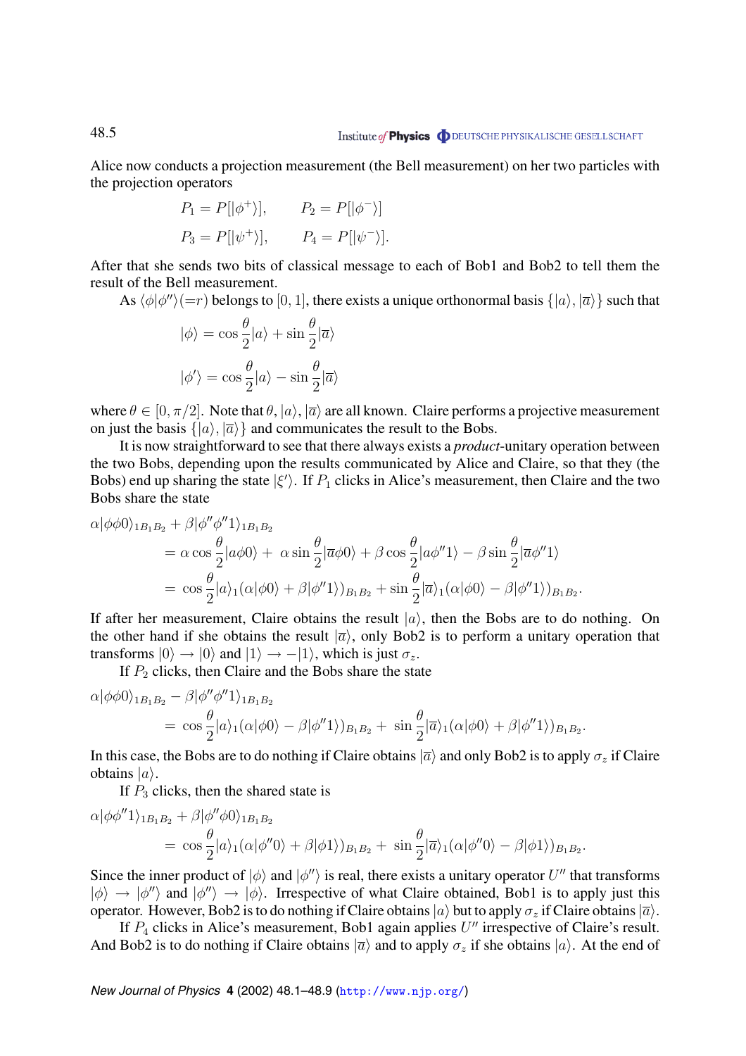Alice now conducts a projection measurement (the Bell measurement) on her two particles with the projection operators

$$
P_1 = P[|\phi^+\rangle], \qquad P_2 = P[|\phi^-\rangle]
$$
  

$$
P_3 = P[|\psi^+\rangle], \qquad P_4 = P[|\psi^-\rangle].
$$

After that she sends two bits of classical message to each of Bob1 and Bob2 to tell them the result of the Bell measurement.

As  $\langle \phi | \phi'' \rangle (=r)$  belongs to  $[0, 1]$ , there exists a unique orthonormal basis  $\{|a\rangle, |\overline{a}\rangle\}$  such that

$$
|\phi\rangle = \cos\frac{\theta}{2}|a\rangle + \sin\frac{\theta}{2}|\overline{a}\rangle
$$
  

$$
|\phi'\rangle = \cos\frac{\theta}{2}|a\rangle - \sin\frac{\theta}{2}|\overline{a}\rangle
$$

where  $\theta \in [0, \pi/2]$ . Note that  $\theta, |a\rangle, |\overline{a}\rangle$  are all known. Claire performs a projective measurement on just the basis  $\{ |a\rangle, |\overline{a}\rangle \}$  and communicates the result to the Bobs.

It is now straightforward to see that there always exists a *product*-unitary operation between the two Bobs, depending upon the results communicated by Alice and Claire, so that they (the Bobs) end up sharing the state  $|\xi'\rangle$ . If  $P_1$  clicks in Alice's measurement, then Claire and the two Bobs share the state

$$
\alpha|\phi\phi0\rangle_{1B_1B_2} + \beta|\phi''\phi''1\rangle_{1B_1B_2}
$$
  
=  $\alpha \cos \frac{\theta}{2}|a\phi0\rangle + \alpha \sin \frac{\theta}{2}|\overline{a}\phi0\rangle + \beta \cos \frac{\theta}{2}|a\phi''1\rangle - \beta \sin \frac{\theta}{2}|\overline{a}\phi''1\rangle$   
=  $\cos \frac{\theta}{2}|a\rangle_1(\alpha|\phi0\rangle + \beta|\phi''1\rangle)_{B_1B_2} + \sin \frac{\theta}{2}|\overline{a}\rangle_1(\alpha|\phi0\rangle - \beta|\phi''1\rangle)_{B_1B_2}.$ 

If after her measurement, Claire obtains the result  $|a\rangle$ , then the Bobs are to do nothing. On the other hand if she obtains the result  $|\bar{a}\rangle$ , only Bob2 is to perform a unitary operation that transforms  $|0\rangle \rightarrow |0\rangle$  and  $|1\rangle \rightarrow -|1\rangle$ , which is just  $\sigma_z$ .

If  $P_2$  clicks, then Claire and the Bobs share the state

$$
\alpha|\phi\phi0\rangle_{1B_1B_2} - \beta|\phi''\phi''1\rangle_{1B_1B_2}
$$
  
=  $\cos\frac{\theta}{2}|a\rangle_1(\alpha|\phi0\rangle - \beta|\phi''1\rangle)_{B_1B_2} + \sin\frac{\theta}{2}|\overline{a}\rangle_1(\alpha|\phi0\rangle + \beta|\phi''1\rangle)_{B_1B_2}.$ 

In this case, the Bobs are to do nothing if Claire obtains  $|\overline{a}\rangle$  and only Bob2 is to apply  $\sigma_z$  if Claire obtains  $|a\rangle$ .

If  $P_3$  clicks, then the shared state is

$$
\alpha|\phi\phi''1\rangle_{1B_1B_2} + \beta|\phi''\phi0\rangle_{1B_1B_2}
$$
  
=  $\cos\frac{\theta}{2}|a\rangle_1(\alpha|\phi''0\rangle + \beta|\phi1\rangle)_{B_1B_2} + \sin\frac{\theta}{2}|\overline{a}\rangle_1(\alpha|\phi''0\rangle - \beta|\phi1\rangle)_{B_1B_2}.$ 

Since the inner product of  $|\phi\rangle$  and  $|\phi''\rangle$  is real, there exists a unitary operator  $U''$  that transforms  $|\phi\rangle \rightarrow |\phi''\rangle$  and  $|\phi''\rangle \rightarrow |\phi\rangle$ . Irrespective of what Claire obtained, Bob1 is to apply just this operator. However, Bob2 is to do nothing if Claire obtains  $|a\rangle$  but to apply  $\sigma_z$  if Claire obtains  $|\overline{a}\rangle$ .

If  $P_4$  clicks in Alice's measurement, Bob1 again applies  $U''$  irrespective of Claire's result. And Bob2 is to do nothing if Claire obtains  $|\overline{a}\rangle$  and to apply  $\sigma_z$  if she obtains  $|a\rangle$ . At the end of

*New Journal of Physics* **4** (2002) 48.1–48.9 (<http://www.njp.org/>)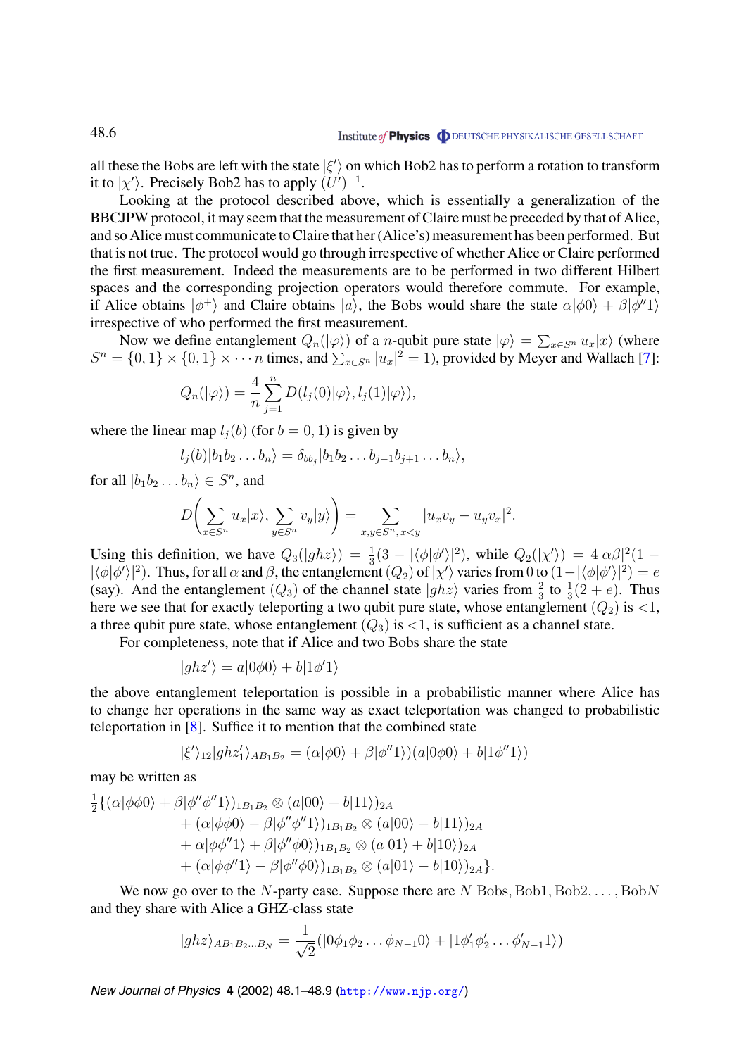all these the Bobs are left with the state  $|\xi'\rangle$  on which Bob2 has to perform a rotation to transform it to  $|\chi'\rangle$ . Precisely Bob2 has to apply  $(U')^{-1}$ .

Looking at the protocol described above, which is essentially a generalization of the BBCJPW protocol, it may seem that the measurement of Claire must be preceded by that of Alice, and so Alice must communicate to Claire that her (Alice's) measurement has been performed. But that is not true. The protocol would go through irrespective of whether Alice or Claire performed the first measurement. Indeed the measurements are to be performed in two different Hilbert spaces and the corresponding projection operators would therefore commute. For example, if Alice obtains  $|\phi^+\rangle$  and Claire obtains  $|a\rangle$ , the Bobs would share the state  $\alpha|\phi 0\rangle + \beta|\phi''1\rangle$ irrespective of who performed the first measurement.

Now we define entanglement  $Q_n(|\varphi\rangle)$  of a *n*-qubit pure state  $|\varphi\rangle = \sum_{x \in S^n} u_x |x\rangle$  (where  $S^n = \{0, 1\} \times \{0, 1\} \times \cdots n$  times, and  $\sum_{x \in S^n} |u_x|^2 = 1$ ), provided by Meyer and Wallach [\[7\]](#page-9-0):

$$
Q_n(|\varphi\rangle) = \frac{4}{n} \sum_{j=1}^n D(l_j(0)|\varphi\rangle, l_j(1)|\varphi\rangle),
$$

where the linear map  $l_i(b)$  (for  $b = 0, 1$ ) is given by

$$
l_j(b)|b_1b_2\ldots b_n\rangle = \delta_{bb_j}|b_1b_2\ldots b_{j-1}b_{j+1}\ldots b_n\rangle,
$$

for all  $|b_1b_2...b_n\rangle \in S^n$ , and

$$
D\left(\sum_{x\in S^n} u_x|x\rangle, \sum_{y\in S^n} v_y|y\rangle\right) = \sum_{x,y\in S^n, x
$$

Using this definition, we have  $Q_3(|ghz\rangle) = \frac{1}{3}(3 - |\langle \phi | \phi' \rangle|^2)$ , while  $Q_2(|\chi'\rangle) = 4|\alpha\beta|^2(1 - \frac{1}{2})$  $|\langle \phi | \phi' \rangle|^2$ ). Thus, for all  $\alpha$  and  $\beta$ , the entanglement  $(Q_2)$  of  $|\chi'\rangle$  varies from 0 to  $(1 - |\langle \phi | \phi' \rangle|^2) = e$ (say). And the entanglement  $(Q_3)$  of the channel state  $|ghz\rangle$  varies from  $\frac{2}{3}$  to  $\frac{1}{3}(2+e)$ . Thus here we see that for exactly teleporting a two qubit pure state, whose entanglement  $(Q_2)$  is <1, a three qubit pure state, whose entanglement  $(Q_3)$  is  $\lt 1$ , is sufficient as a channel state.

For completeness, note that if Alice and two Bobs share the state

$$
|ghz'\rangle = a|0\phi 0\rangle + b|1\phi' 1\rangle
$$

the above entanglement teleportation is possible in a probabilistic manner where Alice has to change her operations in the same way as exact teleportation was changed to probabilistic teleportation in [[8\]](#page-9-0). Suffice it to mention that the combined state

$$
|\xi'\rangle_{12}|ghz'_{1}\rangle_{AB_{1}B_{2}}=(\alpha|\phi0\rangle+\beta|\phi''1\rangle)(a|0\phi0\rangle+b|1\phi''1\rangle)
$$

may be written as

$$
\frac{1}{2}\{(\alpha|\phi\phi0\rangle + \beta|\phi''\phi''1\rangle)_{1B_1B_2} \otimes (a|00\rangle + b|11\rangle)_{2A} \n+ (\alpha|\phi\phi0\rangle - \beta|\phi''\phi''1\rangle)_{1B_1B_2} \otimes (a|00\rangle - b|11\rangle)_{2A} \n+ \alpha|\phi\phi''1\rangle + \beta|\phi''\phi0\rangle)_{1B_1B_2} \otimes (a|01\rangle + b|10\rangle)_{2A} \n+ (\alpha|\phi\phi''1\rangle - \beta|\phi''\phi0\rangle)_{1B_1B_2} \otimes (a|01\rangle - b|10\rangle)_{2A}.
$$

We now go over to the N-party case. Suppose there are N Bobs, Bob1, Bob2, ..., BobN and they share with Alice a GHZ-class state

$$
|ghz\rangle_{AB_1B_2...B_N} = \frac{1}{\sqrt{2}}(|0\phi_1\phi_2\ldots\phi_{N-1}0\rangle + |1\phi_1'\phi_2'\ldots\phi_{N-1}'1\rangle)
$$

*New Journal of Physics* **4** (2002) 48.1–48.9 (<http://www.njp.org/>)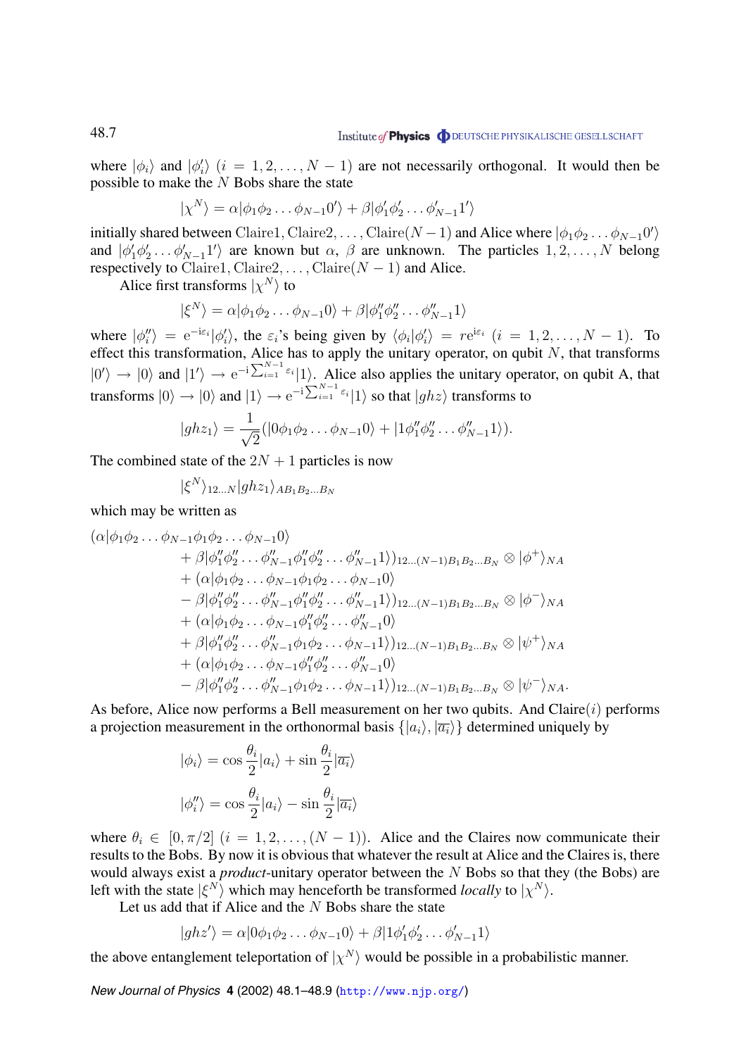where  $|\phi_i\rangle$  and  $|\phi'_i\rangle$   $(i = 1, 2, ..., N - 1)$  are not necessarily orthogonal. It would then be possible to make the  $N$  Bobs share the state

$$
|\chi^N\rangle = \alpha|\phi_1\phi_2\ldots\phi_{N-1}0'\rangle + \beta|\phi'_1\phi'_2\ldots\phi'_{N-1}1'\rangle
$$

initially shared between Claire1, Claire2,..., Claire( $N-1$ ) and Alice where  $|\phi_1 \phi_2 ... \phi_{N-1} 0' \rangle$ and  $|\phi'_1\phi'_2\ldots\phi'_{N-1}1'\rangle$  are known but  $\alpha$ ,  $\beta$  are unknown. The particles  $1, 2, \ldots, N$  belong respectively to Claire1, Claire2,..., Claire( $N - 1$ ) and Alice.

Alice first transforms  $|\chi^N\rangle$  to

$$
|\xi^N\rangle = \alpha|\phi_1\phi_2\ldots\phi_{N-1}0\rangle + \beta|\phi_1''\phi_2''\ldots\phi_{N-1}''1\rangle
$$

where  $|\phi''_i\rangle = e^{-i\varepsilon_i}|\phi'_i\rangle$ , the  $\varepsilon_i$ 's being given by  $\langle \phi_i | \phi'_i \rangle = re^{i\varepsilon_i}$   $(i = 1, 2, ..., N - 1)$ . To effect this transformation, Alice has to apply the unitary operator, on qubit  $N$ , that transforms  $|0'\rangle \to |0\rangle$  and  $|1'\rangle \to e^{-i\sum_{i=1}^{N-1}\epsilon_i}|1\rangle$ . Alice also applies the unitary operator, on qubit A, that transforms  $|0\rangle \rightarrow |0\rangle$  and  $|1\rangle \rightarrow e^{-i\sum_{i=1}^{N-1}\varepsilon_i}|1\rangle$  so that  $|ghz\rangle$  transforms to

$$
|ghz_1\rangle = \frac{1}{\sqrt{2}}(|0\phi_1\phi_2\ldots\phi_{N-1}0\rangle + |1\phi_1''\phi_2''\ldots\phi_{N-1}''1\rangle).
$$

The combined state of the  $2N + 1$  particles is now

$$
|\xi^N\rangle_{12...N}|ghz_1\rangle_{AB_1B_2...B_N}
$$

which may be written as

$$
(\alpha|\phi_1\phi_2...\phi_{N-1}\phi_1\phi_2...\phi_{N-1}0\rangle + \beta|\phi_1''\phi_2''...\phi_{N-1}''\phi_1''\phi_2''...\phi_{N-1}''1\rangle)_{12...(N-1)B_1B_2...B_N} \otimes |\phi^+\rangle_{NA} + (\alpha|\phi_1\phi_2...\phi_{N-1}\phi_1\phi_2...\phi_{N-1}0\rangle - \beta|\phi_1''\phi_2''...\phi_{N-1}''\phi_1''\phi_2''...\phi_{N-1}''1\rangle)_{12...(N-1)B_1B_2...B_N} \otimes |\phi^-\rangle_{NA} + (\alpha|\phi_1\phi_2...\phi_{N-1}\phi_1''\phi_2''...\phi_{N-1}'') + \beta|\phi_1''\phi_2''...\phi_{N-1}''\phi_1\phi_2...\phi_{N-1}1\rangle)_{12...(N-1)B_1B_2...B_N} \otimes |\psi^+\rangle_{NA} + (\alpha|\phi_1\phi_2...\phi_{N-1}\phi_1''\phi_2''...\phi_{N-1}'') - \beta|\phi_1''\phi_2''...\phi_{N-1}''\phi_1\phi_2...\phi_{N-1}1\rangle)_{12...(N-1)B_1B_2...B_N} \otimes |\psi^-\rangle_{NA}.
$$

As before, Alice now performs a Bell measurement on her two qubits. And Claire $(i)$  performs a projection measurement in the orthonormal basis  $\{|a_i\rangle,|\overline{a_i}\rangle\}$  determined uniquely by

$$
|\phi_i\rangle = \cos\frac{\theta_i}{2}|a_i\rangle + \sin\frac{\theta_i}{2}|\overline{a_i}\rangle
$$
  

$$
|\phi_i''\rangle = \cos\frac{\theta_i}{2}|a_i\rangle - \sin\frac{\theta_i}{2}|\overline{a_i}\rangle
$$

where  $\theta_i \in [0, \pi/2]$   $(i = 1, 2, \ldots, (N-1))$ . Alice and the Claires now communicate their results to the Bobs. By now it is obvious that whatever the result at Alice and the Claires is, there would always exist a *product*-unitary operator between the N Bobs so that they (the Bobs) are left with the state  $|\xi^N\rangle$  which may henceforth be transformed *locally* to  $|\chi^N\rangle$ .

Let us add that if Alice and the  $N$  Bobs share the state

$$
|ghz'\rangle = \alpha|0\phi_1\phi_2\ldots\phi_{N-1}0\rangle + \beta|1\phi'_1\phi'_2\ldots\phi'_{N-1}1\rangle
$$

the above entanglement teleportation of  $|\chi^N\rangle$  would be possible in a probabilistic manner.

*New Journal of Physics* **4** (2002) 48.1–48.9 (<http://www.njp.org/>)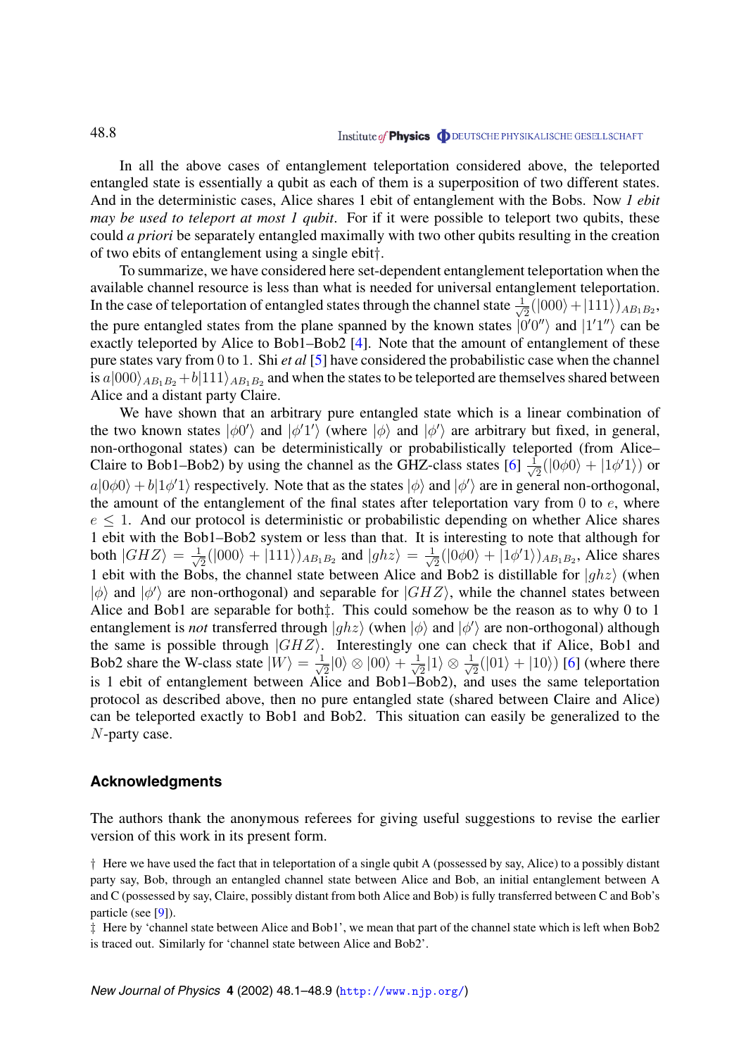In all the above cases of entanglement teleportation considered above, the teleported entangled state is essentially a qubit as each of them is a superposition of two different states. And in the deterministic cases, Alice shares 1 ebit of entanglement with the Bobs. Now *1 ebit may be used to teleport at most 1 qubit*. For if it were possible to teleport two qubits, these could *a priori* be separately entangled maximally with two other qubits resulting in the creation of two ebits of entanglement using a single ebit†.

To summarize, we have considered here set-dependent entanglement teleportation when the available channel resource is less than what is needed for universal entanglement teleportation. In the case of teleportation of entangled states through the channel state  $\frac{1}{\sqrt{2}}(|000\rangle+|111\rangle)_{AB_1B_2}$ , the pure entangled states from the plane spanned by the known states  $|0'0''\rangle$  and  $|1'1''\rangle$  can be exactly teleported by Alice to Bob1–Bob2 [\[4](#page-9-0)]. Note that the amount of entanglement of these pure states vary from 0 to 1. Shi *et al* [\[5](#page-9-0)] have considered the probabilistic case when the channel is  $a|000\rangle_{AB_1B_2}+b|111\rangle_{AB_1B_2}$  and when the states to be teleported are themselves shared between Alice and a distant party Claire.

We have shown that an arbitrary pure entangled state which is a linear combination of the two known states  $|\phi_0\rangle$  and  $|\phi_0\rangle_1\rangle$  (where  $|\phi_0\rangle$  and  $|\phi_0\rangle_2\rangle$  are arbitrary but fixed, in general, non-orthogonal states) can be deterministically or probabilistically teleported (from Alice– Claire to Bob1–Bob2) by using the channel as the GHZ-class states  $[6]$  $[6]$   $\frac{1}{\sqrt{2}}(|0\phi 0\rangle + |1\phi' 1\rangle)$  or  $a|0\phi 0\rangle + b|1\phi' 1\rangle$  respectively. Note that as the states  $|\phi\rangle$  and  $|\phi'\rangle$  are in general non-orthogonal, the amount of the entanglement of the final states after teleportation vary from  $0$  to  $e$ , where  $e \leq 1$ . And our protocol is deterministic or probabilistic depending on whether Alice shares 1 ebit with the Bob1–Bob2 system or less than that. It is interesting to note that although for both  $|GHZ\rangle = \frac{1}{\sqrt{2}}(|000\rangle + |111\rangle)_{AB_1B_2}$  and  $|ghz\rangle = \frac{1}{\sqrt{2}}(|0\phi 0\rangle + |1\phi' 1\rangle)_{AB_1B_2}$ , Alice shares 1 ebit with the Bobs, the channel state between Alice and Bob2 is distillable for  $|ghz\rangle$  (when  $|\phi\rangle$  and  $|\phi'\rangle$  are non-orthogonal) and separable for  $|GHZ\rangle$ , while the channel states between Alice and Bob1 are separable for both‡. This could somehow be the reason as to why 0 to 1 entanglement is *not* transferred through  $|ghz\rangle$  (when  $|\phi\rangle$  and  $|\phi'\rangle$  are non-orthogonal) although the same is possible through  $|GHZ\rangle$ . Interestingly one can check that if Alice, Bob1 and Bob2 share the W-class state  $|W\rangle = \frac{1}{\sqrt{2}}|0\rangle \otimes |00\rangle + \frac{1}{\sqrt{2}}|1\rangle \otimes \frac{1}{\sqrt{2}}(|01\rangle + |10\rangle)$  [[6\]](#page-9-0) (where there is 1 ebit of entanglement between Alice and Bob1–Bob2), and uses the same teleportation protocol as described above, then no pure entangled state (shared between Claire and Alice) can be teleported exactly to Bob1 and Bob2. This situation can easily be generalized to the N-party case.

### **Acknowledgments**

The authors thank the anonymous referees for giving useful suggestions to revise the earlier version of this work in its present form.

† Here we have used the fact that in teleportation of a single qubit A (possessed by say, Alice) to a possibly distant party say, Bob, through an entangled channel state between Alice and Bob, an initial entanglement between A and C (possessed by say, Claire, possibly distant from both Alice and Bob) is fully transferred between C and Bob's particle (see [\[9](#page-9-0)]).

‡ Here by 'channel state between Alice and Bob1', we mean that part of the channel state which is left when Bob2 is traced out. Similarly for 'channel state between Alice and Bob2'.